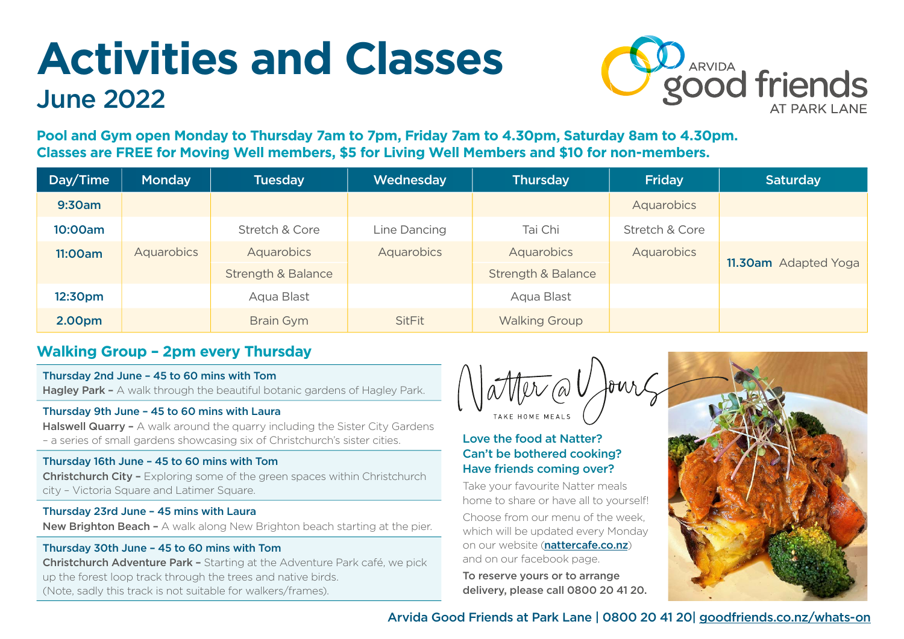# **Activities and Classes** June 2022



**Pool and Gym open Monday to Thursday 7am to 7pm, Friday 7am to 4.30pm, Saturday 8am to 4.30pm. Classes are FREE for Moving Well members, \$5 for Living Well Members and \$10 for non-members.** 

| Day/Time | <b>Monday</b> | <b>Tuesday</b>                | <b>Wednesday</b> | <b>Thursday</b>               | <b>Friday</b>  | Saturday             |
|----------|---------------|-------------------------------|------------------|-------------------------------|----------------|----------------------|
| 9:30am   |               |                               |                  |                               | Aquarobics     |                      |
| 10:00am  |               | Stretch & Core                | Line Dancing     | Tai Chi                       | Stretch & Core |                      |
| 11:00am  | Aquarobics    | Aquarobics                    | Aquarobics       | Aquarobics                    | Aquarobics     | 11.30am Adapted Yoga |
|          |               | <b>Strength &amp; Balance</b> |                  | <b>Strength &amp; Balance</b> |                |                      |
| 12:30pm  |               | Aqua Blast                    |                  | Aqua Blast                    |                |                      |
| 2.00pm   |               | <b>Brain Gym</b>              | <b>SitFit</b>    | <b>Walking Group</b>          |                |                      |

# **Walking Group – 2pm every Thursday**

Thursday 2nd June – 45 to 60 mins with Tom Hagley Park – A walk through the beautiful botanic gardens of Hagley Park.

### Thursday 9th June – 45 to 60 mins with Laura

Halswell Quarry - A walk around the quarry including the Sister City Gardens – a series of small gardens showcasing six of Christchurch's sister cities.

# Thursday 16th June – 45 to 60 mins with Tom

Christchurch City – Exploring some of the green spaces within Christchurch city – Victoria Square and Latimer Square.

### Thursday 23rd June – 45 mins with Laura

New Brighton Beach - A walk along New Brighton beach starting at the pier.

# Thursday 30th June – 45 to 60 mins with Tom

Christchurch Adventure Park – Starting at the Adventure Park café, we pick up the forest loop track through the trees and native birds. (Note, sadly this track is not suitable for walkers/frames).

# Love the food at Natter? Can't be bothered cooking? Have friends coming over?

Take your favourite Natter meals home to share or have all to yourself!

Choose from our menu of the week, which will be updated every Monday on our website ([nattercafe.co.nz](http://nattercafe.co.nz)) and on our facebook page.

To reserve yours or to arrange delivery, please call 0800 20 41 20.



Arvida Good Friends at Park Lane | 0800 20 41 20| [goodfriends.co.nz/](https://www.goodfriends.co.nz/whats-on)whats-on